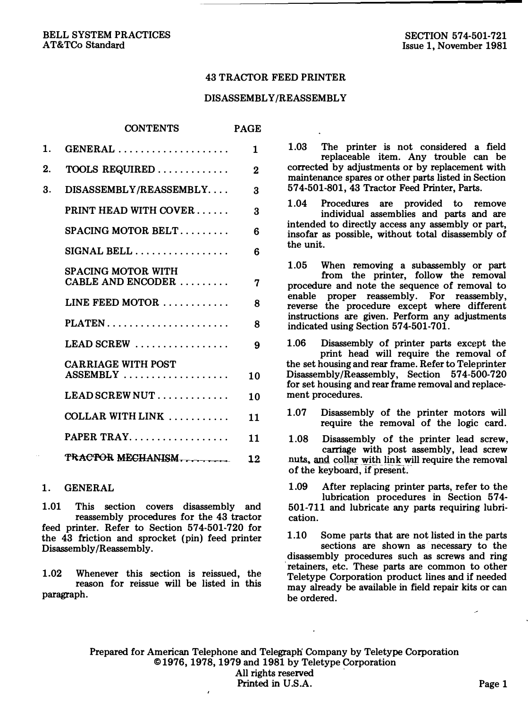#### 43 TRACTOR FEED PRINTER

#### DISASSEMBLY/REASSEMBLY

#### CONTENTS PAGE

| 1. | $GENERAL \ldots \ldots \ldots \ldots \ldots \ldots$ | 1  |
|----|-----------------------------------------------------|----|
| 2. | TOOLS REQUIRED                                      | 2  |
| 3. | DISASSEMBLY/REASSEMBLY                              | 3  |
|    | PRINT HEAD WITH COVER                               | 3  |
|    | SPACING MOTOR BELT                                  | 6  |
|    | SIGNAL BELL                                         | 6  |
|    | SPACING MOTOR WITH<br>CABLE AND ENCODER $\ldots$    | 7  |
|    | LINE FEED MOTOR $\ldots$                            | 8  |
|    | $PLATEN$                                            | 8  |
|    | LEAD SCREW $\ldots \ldots \ldots \ldots \ldots$     | 9  |
|    | <b>CARRIAGE WITH POST</b><br>$ASSEMBLY$             | 10 |
|    | $LEAD$ SCREW NUT $\ldots \ldots \ldots$             | 10 |
|    | $COLLAR WITH LINK$                                  | 11 |
|    | PAPER TRAY                                          | 11 |
|    | <b>TRACTOR MECHANISM.</b>                           | 12 |
|    |                                                     |    |

1. GENERAL

1.01 This section covers disassembly and reassembly procedures for the 43 tractor feed printer. Refer to Section 574-501-720 for the 43 friction and sprocket (pin) feed printer Disassembly /Reassembly.

1.02 Whenever this section is reissued, the reason for reissue will be listed in this paragraph.

1.03 The printer is not considered a field replaceable item. Any trouble can be corrected by adjustments or by replacement with maintenance spares or other parts listed in Section 574-501-801, 43 Tractor Feed Printer, Parts.

1.04 Procedures are provided to remove individual assemblies and parts and are intended to directly access any assembly or part, insofar as possible, without total disassembly of the unit.

1.05 When removing a subassembly or part from the printer, follow the removal procedure and note the sequence of removal to enable proper reassembly. For reassembly, reverse the procedure except where different instructions are given. Perform any adjustments indicated using Section 574-501-701.

1.06 Disassembly of printer parts except the print head will require the removal of the set housing and rear frame. Refer to Teleprinter Disassembly/Reassembly, Section 574-500-720 for set housing and rear frame removal and replacement procedures.

1.07 Disassembly of the printer motors will require the removal of the logic card.

1.08 Disassembly of the printer lead screw, nuts, and collar with link will require the removal carriage with post assembly, lead screw of the keyboard, if present.

1.09 After replacing printer parts, refer to the lubrication procedures in Section 574- 501-711 and lubricate any parts requiring lubrication.

1.10 Some parts that are not listed in the parts sections are shown as necessary to the disassembly procedures such as screws and ring 'retainers, etc. These parts are common to other Teletype Corporation product lines and if needed may already be available in field repair kits or can be ordered.

Prepared for American Telephone and Telegrapli Company by Teletype Corporation ©1976, 1978, 1979 and 1981 by Teletype Corporation All rights reserved Printed in U.S.A. Page 1  $\lambda$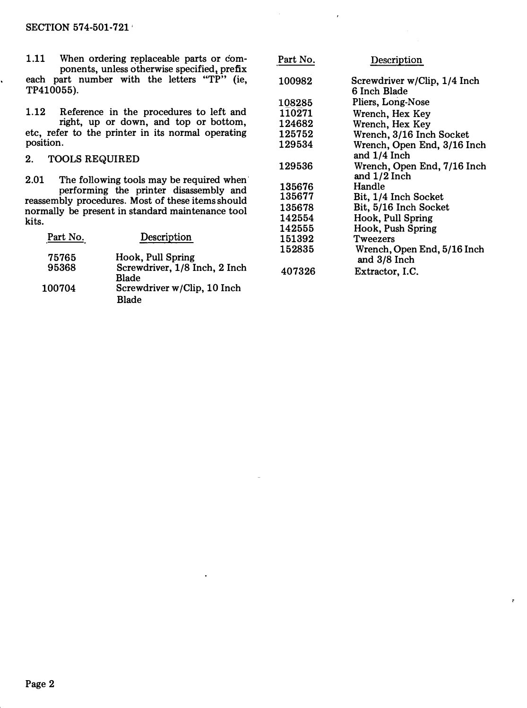i.

1.11 When ordering replaceable parts or components, unless otherwise specified, prefix each part number with the letters "TP" (ie, TP410055).

1 .12 Reference in the procedures to left and right, up or down, and top or bottom, etc, refer to the printer in its normal operating position.

### 2. TOOLS REQUIRED

2.01 The following tools may be required when performing the printer disassembly and reassembly procedures. Most of these items should normally be present in standard maintenance tool kits.

| Part No. | Description                   |
|----------|-------------------------------|
| 75765    | Hook, Pull Spring             |
| 95368    | Screwdriver, 1/8 Inch, 2 Inch |
|          | <b>Blade</b>                  |
| 100704   | Screwdriver w/Clip, 10 Inch   |
|          | Blade                         |

| Part No. | $\bold{Description}$                         |
|----------|----------------------------------------------|
| 100982   | Screwdriver w/Clip, 1/4 Inch<br>6 Inch Blade |
| 108285   | Pliers, Long-Nose                            |
| 110271   | Wrench, Hex Key                              |
| 124682   | Wrench, Hex Key                              |
| 125752   | Wrench, 3/16 Inch Socket                     |
| 129534   | Wrench, Open End, 3/16 Inch<br>and 1/4 Inch  |
| 129536   | Wrench, Open End, 7/16 Inch<br>and 1/2 Inch  |
| 135676   | Handle                                       |
| 135677   | Bit, 1/4 Inch Socket                         |
| 135678   | Bit, 5/16 Inch Socket                        |
| 142554   | Hook, Pull Spring                            |
| 142555   | Hook, Push Spring                            |
| 151392   | Tweezers                                     |
| 152835   | Wrench, Open End, 5/16 Inch<br>and 3/8 Inch  |
| 407326   | Extractor, I.C.                              |

 $\mathbf{r}$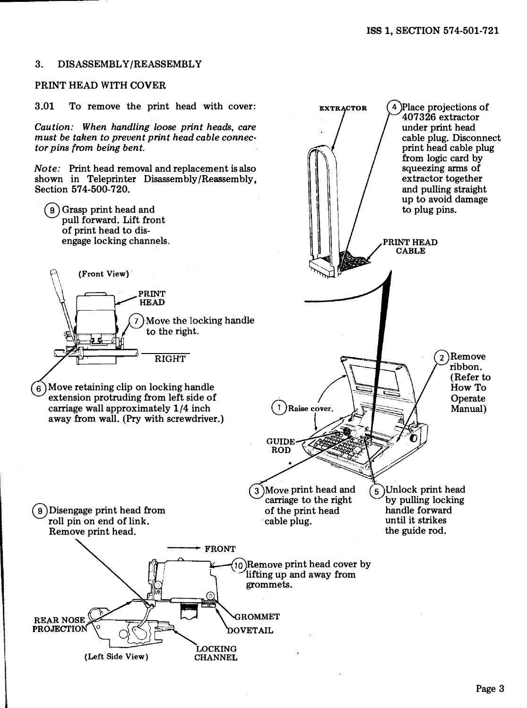### 3. DISASSEMBLY/REASSEMBLY

## PRINT HEAD WITH COVER

3.01 To remove the print head with cover:

Caution: When handling loose print heads, care must be taken to prevent print head cable connector pins from being bent.

Note: Print head removal and replacement is also shown in Teleprinter Disassembly/Reassembly, Section 574-500-720.





Move retaining clip on locking handle  $6)$ extension protruding from left side of carriage wall approximately 1/4 inch away from wall. (Pry with screwdriver.)



®Disengage print head from roll pin on end of link. Remove print head.



 $\overline{3}$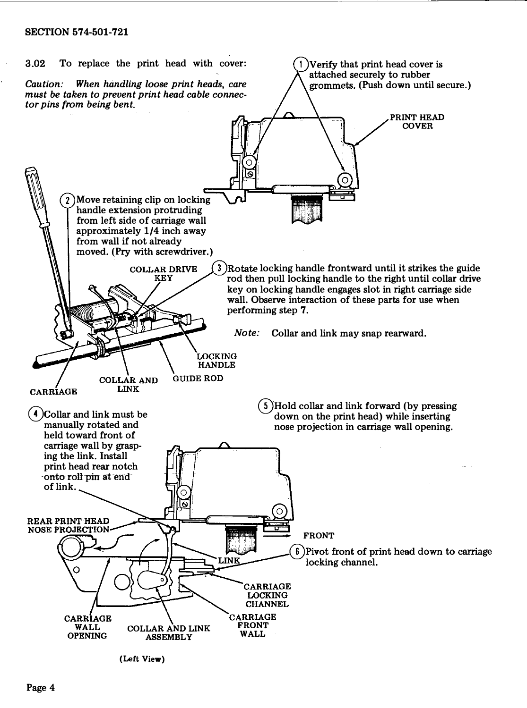#### SECTION 574-501-721



(Left View)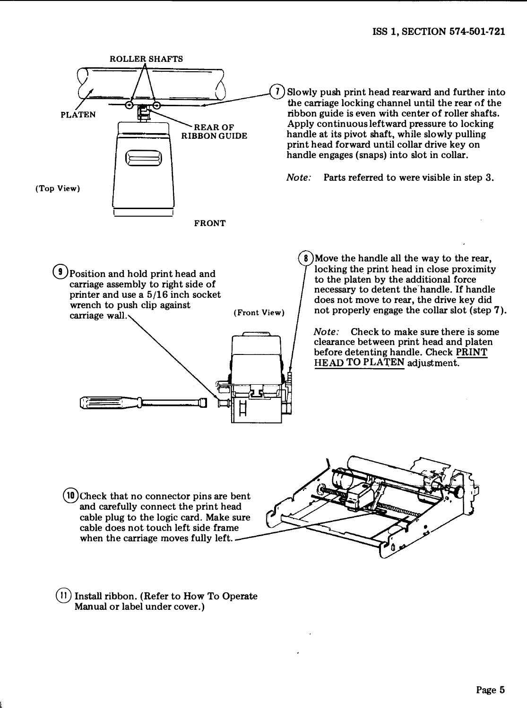

10) Check that no connector pins are bent and carefully connect the print head cable plug to the logic card. Make sure cable does not touch left side frame when the carriage moves fully left.

@ Install ribbon. (Refer to How To Operate Manual or label under cover.)

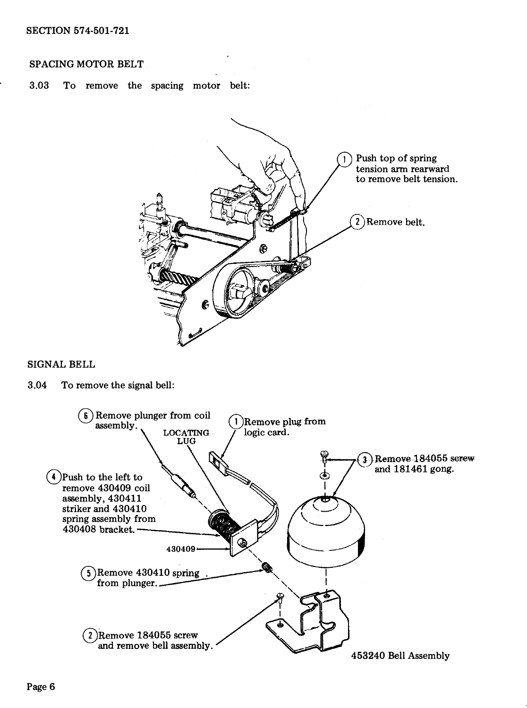### SPACING MOTOR BELT

3.03 To remove the spacing motor belt:



### SIGNAL BELL

3.04 To remove the signal bell:

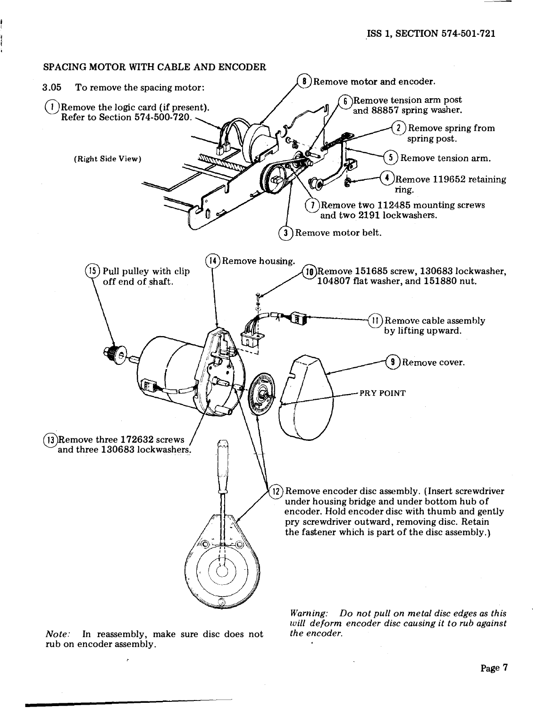

Note: In reassembly, make sure disc does not rub on encoder assembly.

will deform encoder disc causing it to rub against the encoder.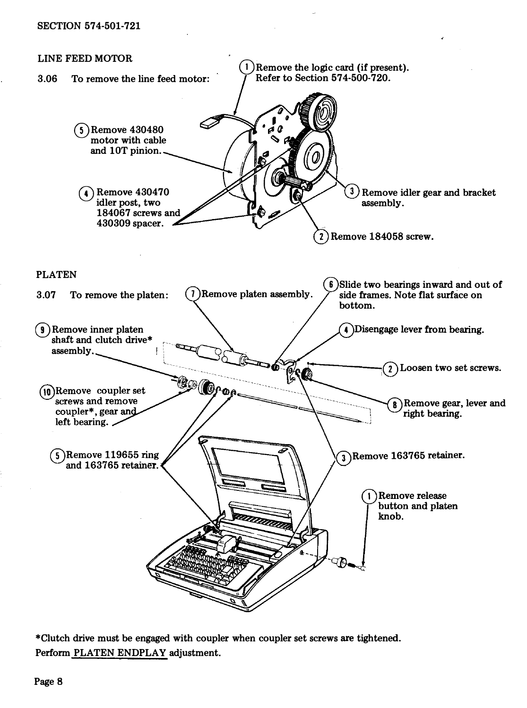

\*Clutch drive must be engaged with coupler when coupler set screws are tightened. Perform PLATEN ENDPLAY adjustment.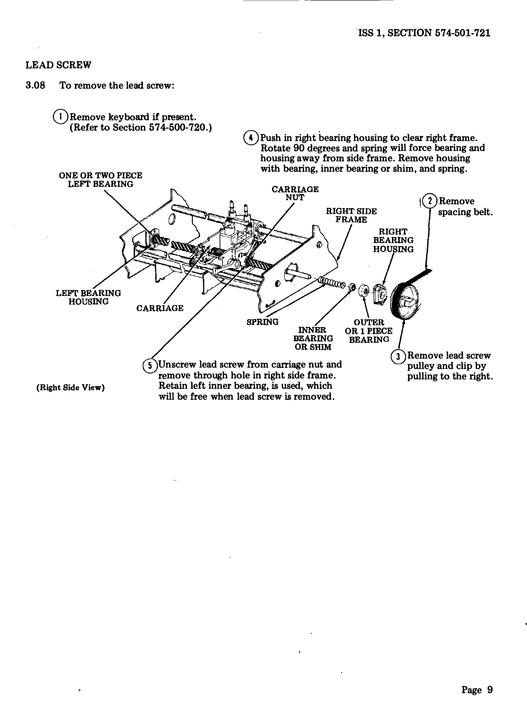## LEAD SCREW

3.08 To remove the lead screw:

 $\overline{r}$ 

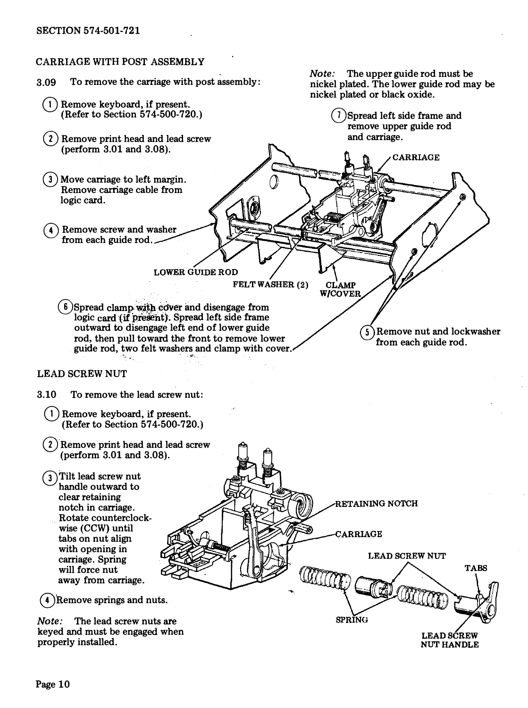## CARRIAGE WITH POST ASSEMBLY

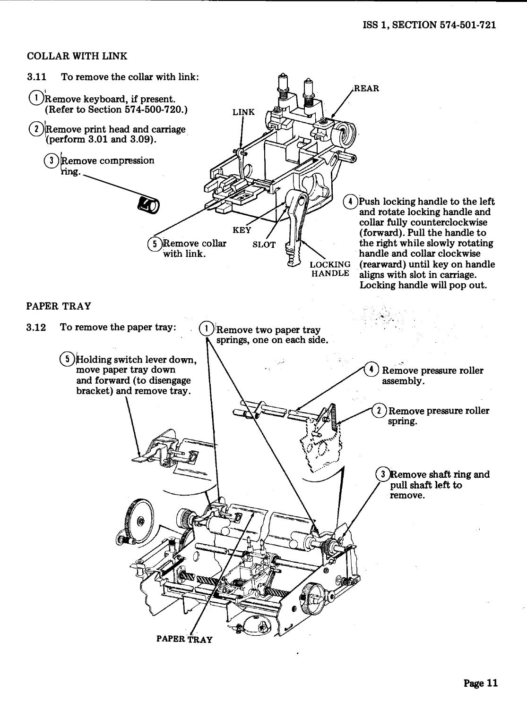# COLLAR WITH LINK

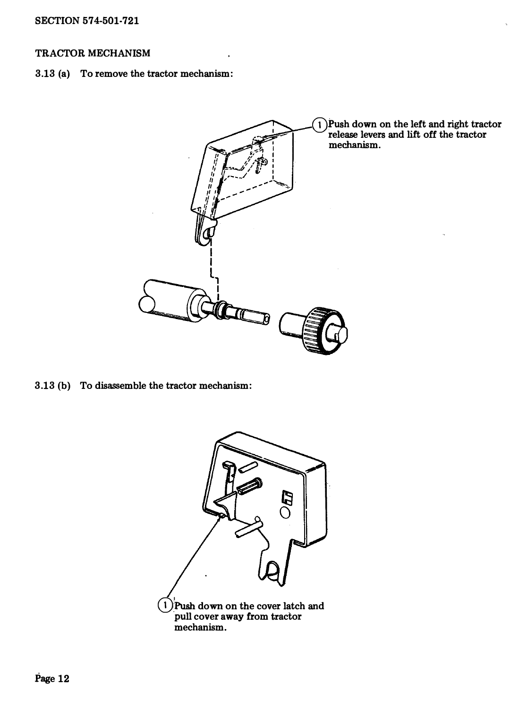## TRACTOR MECHANISM

3.13 (a) To remove the tractor mechanism:



3.13 (b) To disassemble the tractor mechanism:

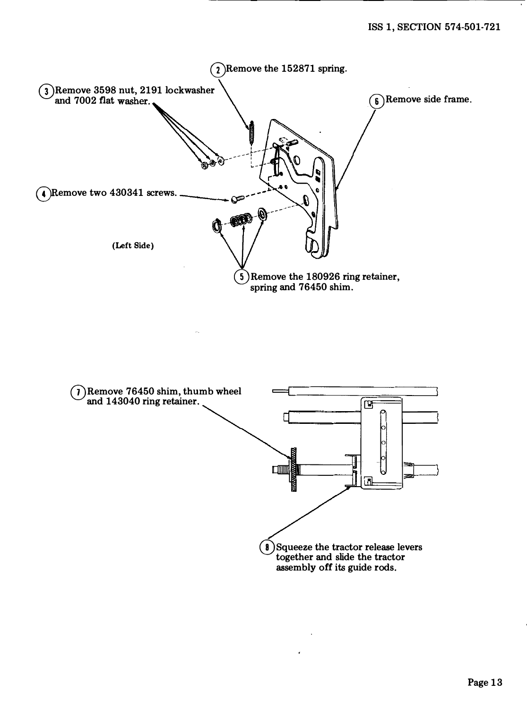